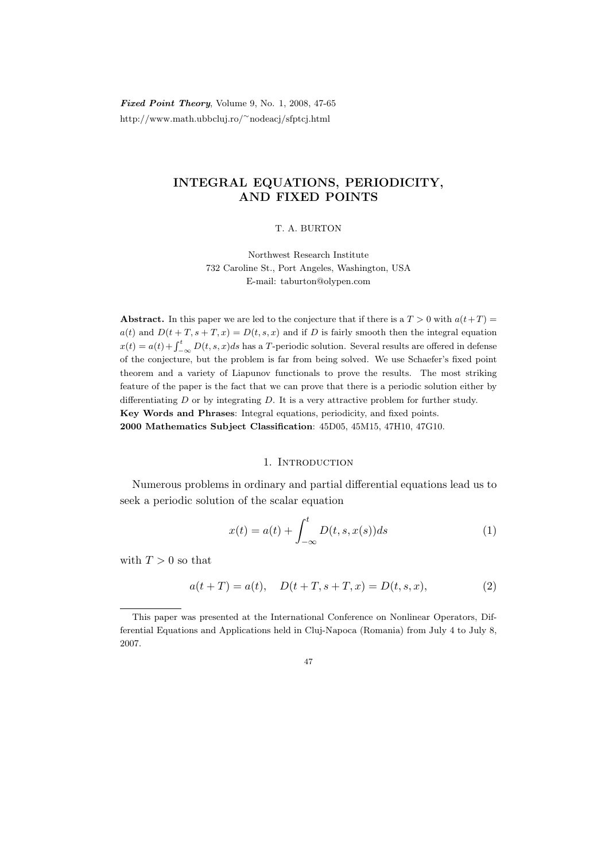Fixed Point Theory, Volume 9, No. 1, 2008, 47-65 http://www.math.ubbcluj.ro/<sup>∼</sup>nodeacj/sfptcj.html

# INTEGRAL EQUATIONS, PERIODICITY, AND FIXED POINTS

# T. A. BURTON

Northwest Research Institute 732 Caroline St., Port Angeles, Washington, USA E-mail: taburton@olypen.com

Abstract. In this paper we are led to the conjecture that if there is a  $T > 0$  with  $a(t+T) =$  $a(t)$  and  $D(t + T, s + T, x) = D(t, s, x)$  and if D is fairly smooth then the integral equation  $x(t) = a(t) + \int_{-\infty}^{t} D(t, s, x)ds$  has a T-periodic solution. Several results are offered in defense of the conjecture, but the problem is far from being solved. We use Schaefer's fixed point theorem and a variety of Liapunov functionals to prove the results. The most striking feature of the paper is the fact that we can prove that there is a periodic solution either by differentiating  $D$  or by integrating  $D$ . It is a very attractive problem for further study. Key Words and Phrases: Integral equations, periodicity, and fixed points. 2000 Mathematics Subject Classification: 45D05, 45M15, 47H10, 47G10.

## 1. Introduction

Numerous problems in ordinary and partial differential equations lead us to seek a periodic solution of the scalar equation

$$
x(t) = a(t) + \int_{-\infty}^{t} D(t, s, x(s))ds
$$
 (1)

with  $T > 0$  so that

$$
a(t+T) = a(t), \quad D(t+T, s+T, x) = D(t, s, x), \tag{2}
$$

This paper was presented at the International Conference on Nonlinear Operators, Differential Equations and Applications held in Cluj-Napoca (Romania) from July 4 to July 8, 2007.

<sup>47</sup>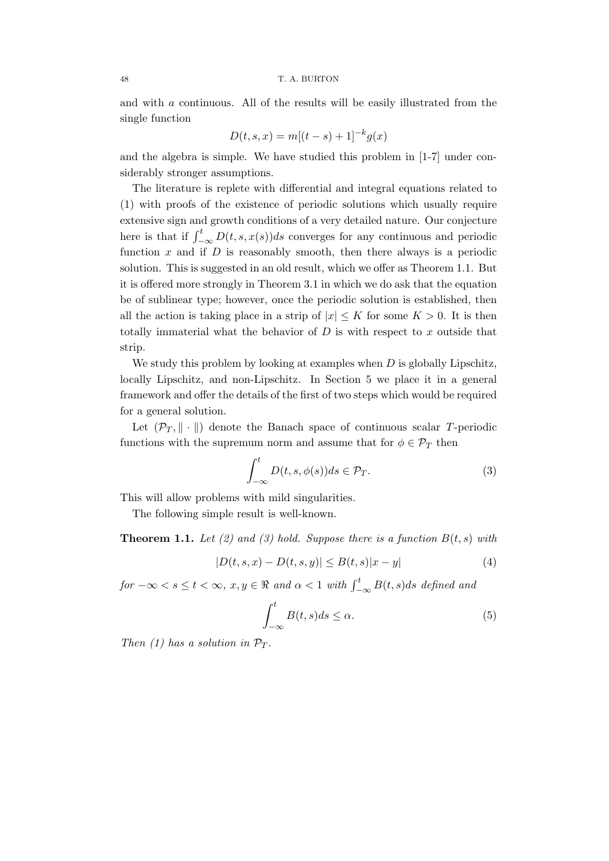and with a continuous. All of the results will be easily illustrated from the single function

$$
D(t, s, x) = m[(t - s) + 1]^{-k} g(x)
$$

and the algebra is simple. We have studied this problem in [1-7] under considerably stronger assumptions.

The literature is replete with differential and integral equations related to (1) with proofs of the existence of periodic solutions which usually require extensive sign and growth conditions of a very detailed nature. Our conjecture here is that if  $\int_{-\infty}^{t} D(t, s, x(s))ds$  converges for any continuous and periodic function  $x$  and if  $D$  is reasonably smooth, then there always is a periodic solution. This is suggested in an old result, which we offer as Theorem 1.1. But it is offered more strongly in Theorem 3.1 in which we do ask that the equation be of sublinear type; however, once the periodic solution is established, then all the action is taking place in a strip of  $|x| \leq K$  for some  $K > 0$ . It is then totally immaterial what the behavior of  $D$  is with respect to  $x$  outside that strip.

We study this problem by looking at examples when  $D$  is globally Lipschitz, locally Lipschitz, and non-Lipschitz. In Section 5 we place it in a general framework and offer the details of the first of two steps which would be required for a general solution.

Let  $(\mathcal{P}_T, \|\cdot\|)$  denote the Banach space of continuous scalar T-periodic functions with the supremum norm and assume that for  $\phi \in \mathcal{P}_T$  then

$$
\int_{-\infty}^{t} D(t, s, \phi(s))ds \in \mathcal{P}_T.
$$
 (3)

This will allow problems with mild singularities.

The following simple result is well-known.

**Theorem 1.1.** Let (2) and (3) hold. Suppose there is a function  $B(t, s)$  with

$$
|D(t, s, x) - D(t, s, y)| \le B(t, s)|x - y|
$$
\n(4)

 $for -\infty < s \le t < \infty$ ,  $x, y \in \Re$  and  $\alpha < 1$  with  $\int_{-\infty}^{t} B(t, s) ds$  defined and

$$
\int_{-\infty}^{t} B(t,s)ds \le \alpha.
$$
 (5)

Then (1) has a solution in  $\mathcal{P}_T$ .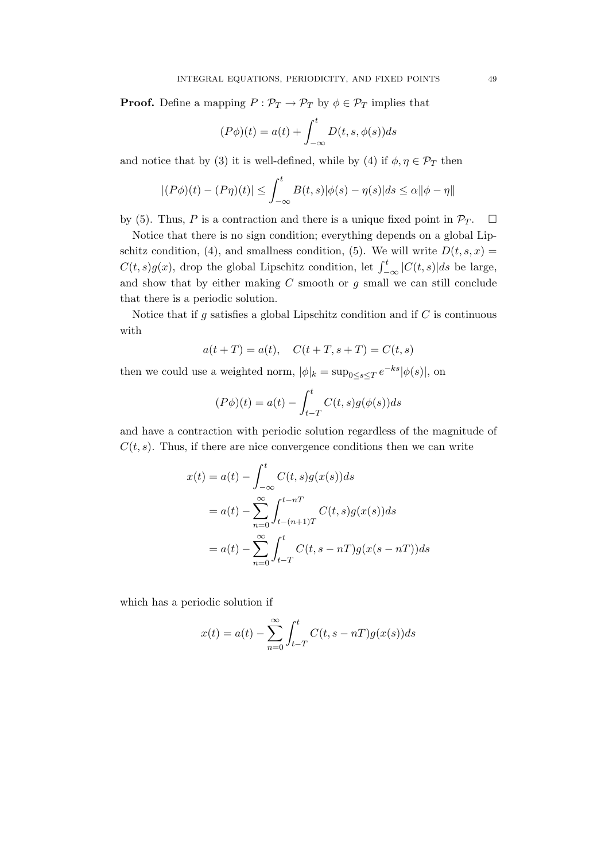**Proof.** Define a mapping  $P : \mathcal{P}_T \to \mathcal{P}_T$  by  $\phi \in \mathcal{P}_T$  implies that

$$
(P\phi)(t) = a(t) + \int_{-\infty}^{t} D(t, s, \phi(s))ds
$$

and notice that by (3) it is well-defined, while by (4) if  $\phi, \eta \in \mathcal{P}_T$  then

$$
|(P\phi)(t) - (P\eta)(t)| \le \int_{-\infty}^{t} B(t,s)|\phi(s) - \eta(s)|ds \le \alpha ||\phi - \eta||
$$

by (5). Thus, P is a contraction and there is a unique fixed point in  $\mathcal{P}_T$ .  $\Box$ 

Notice that there is no sign condition; everything depends on a global Lipschitz condition, (4), and smallness condition, (5). We will write  $D(t, s, x) =$  $C(t, s)g(x)$ , drop the global Lipschitz condition, let  $\int_{-\infty}^{t} |C(t, s)| ds$  be large, and show that by either making  $C$  smooth or  $g$  small we can still conclude that there is a periodic solution.

Notice that if  $g$  satisfies a global Lipschitz condition and if  $C$  is continuous with

$$
a(t+T) = a(t),
$$
  $C(t+T, s+T) = C(t, s)$ 

then we could use a weighted norm,  $|\phi|_k = \sup_{0 \le s \le T} e^{-ks} |\phi(s)|$ , on

$$
(P\phi)(t) = a(t) - \int_{t-T}^{t} C(t,s)g(\phi(s))ds
$$

and have a contraction with periodic solution regardless of the magnitude of  $C(t, s)$ . Thus, if there are nice convergence conditions then we can write

$$
x(t) = a(t) - \int_{-\infty}^{t} C(t,s)g(x(s))ds
$$
  

$$
= a(t) - \sum_{n=0}^{\infty} \int_{t-(n+1)T}^{t-nT} C(t,s)g(x(s))ds
$$
  

$$
= a(t) - \sum_{n=0}^{\infty} \int_{t-T}^{t} C(t,s-nT)g(x(s-nT))ds
$$

which has a periodic solution if

$$
x(t) = a(t) - \sum_{n=0}^{\infty} \int_{t-T}^{t} C(t, s-nT)g(x(s))ds
$$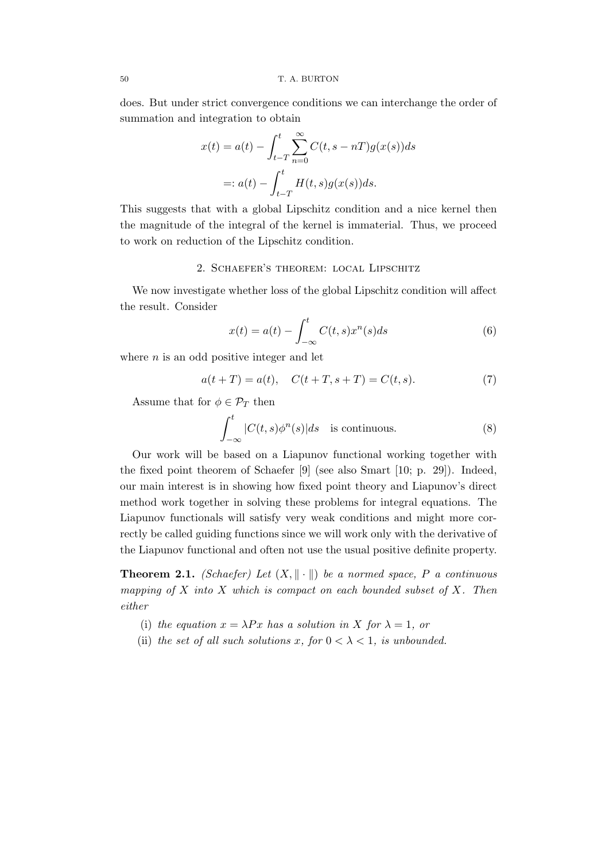does. But under strict convergence conditions we can interchange the order of summation and integration to obtain

$$
x(t) = a(t) - \int_{t-T}^{t} \sum_{n=0}^{\infty} C(t, s - nT)g(x(s))ds
$$

$$
=: a(t) - \int_{t-T}^{t} H(t, s)g(x(s))ds.
$$

This suggests that with a global Lipschitz condition and a nice kernel then the magnitude of the integral of the kernel is immaterial. Thus, we proceed to work on reduction of the Lipschitz condition.

# 2. Schaefer's theorem: local Lipschitz

We now investigate whether loss of the global Lipschitz condition will affect the result. Consider

$$
x(t) = a(t) - \int_{-\infty}^{t} C(t, s) x^{n}(s) ds
$$
\n(6)

where  $n$  is an odd positive integer and let

$$
a(t+T) = a(t), \quad C(t+T, s+T) = C(t, s).
$$
 (7)

Assume that for  $\phi \in \mathcal{P}_T$  then

$$
\int_{-\infty}^{t} |C(t,s)\phi^{n}(s)|ds \text{ is continuous.}
$$
 (8)

Our work will be based on a Liapunov functional working together with the fixed point theorem of Schaefer [9] (see also Smart [10; p. 29]). Indeed, our main interest is in showing how fixed point theory and Liapunov's direct method work together in solving these problems for integral equations. The Liapunov functionals will satisfy very weak conditions and might more correctly be called guiding functions since we will work only with the derivative of the Liapunov functional and often not use the usual positive definite property.

**Theorem 2.1.** (Schaefer) Let  $(X, \|\cdot\|)$  be a normed space, P a continuous mapping of  $X$  into  $X$  which is compact on each bounded subset of  $X$ . Then either

- (i) the equation  $x = \lambda Px$  has a solution in X for  $\lambda = 1$ , or
- (ii) the set of all such solutions x, for  $0 < \lambda < 1$ , is unbounded.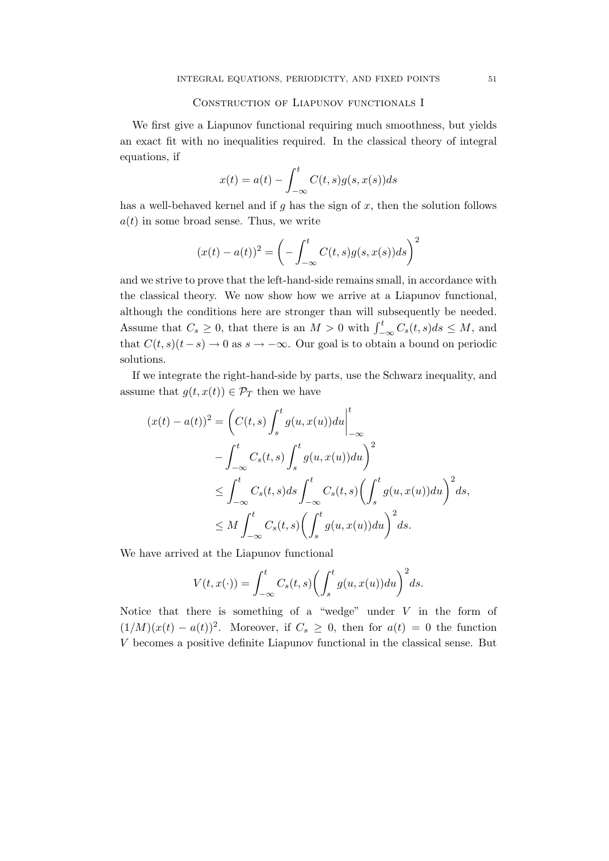# Construction of Liapunov functionals I

We first give a Liapunov functional requiring much smoothness, but yields an exact fit with no inequalities required. In the classical theory of integral equations, if

$$
x(t) = a(t) - \int_{-\infty}^{t} C(t, s)g(s, x(s))ds
$$

has a well-behaved kernel and if  $g$  has the sign of  $x$ , then the solution follows  $a(t)$  in some broad sense. Thus, we write

$$
(x(t) - a(t))^{2} = \left(-\int_{-\infty}^{t} C(t,s)g(s,x(s))ds\right)^{2}
$$

and we strive to prove that the left-hand-side remains small, in accordance with the classical theory. We now show how we arrive at a Liapunov functional, although the conditions here are stronger than will subsequently be needed. Assume that  $C_s \geq 0$ , that there is an  $M > 0$  with  $\int_{-\infty}^{t} C_s(t, s) ds \leq M$ , and that  $C(t, s)(t-s) \to 0$  as  $s \to -\infty$ . Our goal is to obtain a bound on periodic solutions.

If we integrate the right-hand-side by parts, use the Schwarz inequality, and assume that  $g(t, x(t)) \in \mathcal{P}_T$  then we have

$$
(x(t) - a(t))^2 = \left(C(t, s) \int_s^t g(u, x(u))du\Big|_{-\infty}^t
$$
  

$$
- \int_{-\infty}^t C_s(t, s) \int_s^t g(u, x(u))du\right)^2
$$
  

$$
\leq \int_{-\infty}^t C_s(t, s)ds \int_{-\infty}^t C_s(t, s) \left(\int_s^t g(u, x(u))du\right)^2 ds,
$$
  

$$
\leq M \int_{-\infty}^t C_s(t, s) \left(\int_s^t g(u, x(u))du\right)^2 ds.
$$

We have arrived at the Liapunov functional

$$
V(t, x(\cdot)) = \int_{-\infty}^{t} C_s(t, s) \left( \int_{s}^{t} g(u, x(u)) du \right)^2 ds.
$$

Notice that there is something of a "wedge" under  $V$  in the form of  $(1/M)(x(t) - a(t))^2$ . Moreover, if  $C_s \geq 0$ , then for  $a(t) = 0$  the function V becomes a positive definite Liapunov functional in the classical sense. But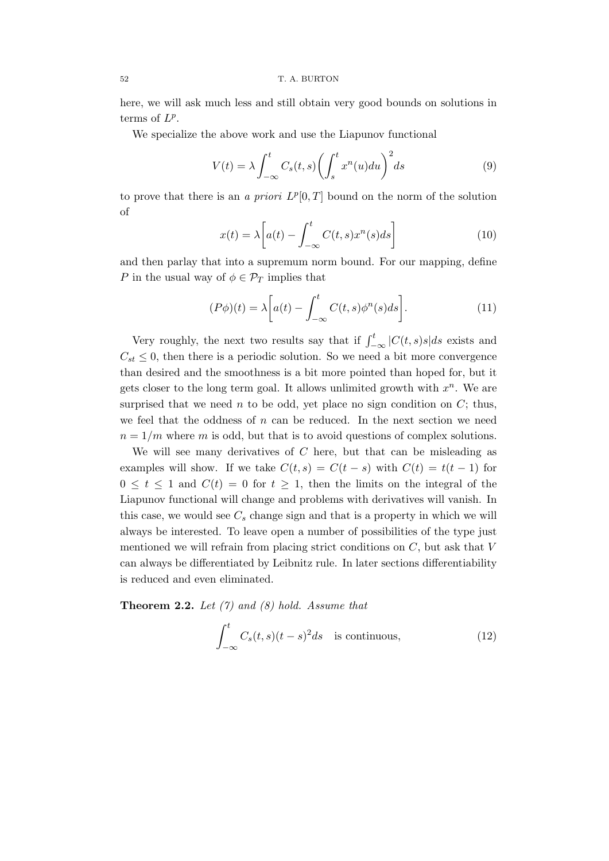here, we will ask much less and still obtain very good bounds on solutions in terms of  $L^p$ .

We specialize the above work and use the Liapunov functional

$$
V(t) = \lambda \int_{-\infty}^{t} C_s(t, s) \left( \int_{s}^{t} x^n(u) du \right)^2 ds \tag{9}
$$

to prove that there is an a priori  $L^p[0,T]$  bound on the norm of the solution of

$$
x(t) = \lambda \left[ a(t) - \int_{-\infty}^{t} C(t, s) x^n(s) ds \right]
$$
 (10)

and then parlay that into a supremum norm bound. For our mapping, define P in the usual way of  $\phi \in \mathcal{P}_T$  implies that

$$
(P\phi)(t) = \lambda \left[ a(t) - \int_{-\infty}^{t} C(t,s)\phi^n(s)ds \right].
$$
 (11)

Very roughly, the next two results say that if  $\int_{-\infty}^{t} |C(t, s)s|ds$  exists and  $C_{st} \leq 0$ , then there is a periodic solution. So we need a bit more convergence than desired and the smoothness is a bit more pointed than hoped for, but it gets closer to the long term goal. It allows unlimited growth with  $x^n$ . We are surprised that we need  $n$  to be odd, yet place no sign condition on  $C$ ; thus, we feel that the oddness of  $n$  can be reduced. In the next section we need  $n = 1/m$  where m is odd, but that is to avoid questions of complex solutions.

We will see many derivatives of  $C$  here, but that can be misleading as examples will show. If we take  $C(t, s) = C(t - s)$  with  $C(t) = t(t - 1)$  for  $0 \leq t \leq 1$  and  $C(t) = 0$  for  $t \geq 1$ , then the limits on the integral of the Liapunov functional will change and problems with derivatives will vanish. In this case, we would see  $C_s$  change sign and that is a property in which we will always be interested. To leave open a number of possibilities of the type just mentioned we will refrain from placing strict conditions on  $C$ , but ask that  $V$ can always be differentiated by Leibnitz rule. In later sections differentiability is reduced and even eliminated.

**Theorem 2.2.** Let  $(7)$  and  $(8)$  hold. Assume that

$$
\int_{-\infty}^{t} C_s(t,s)(t-s)^2 ds \quad \text{is continuous}, \tag{12}
$$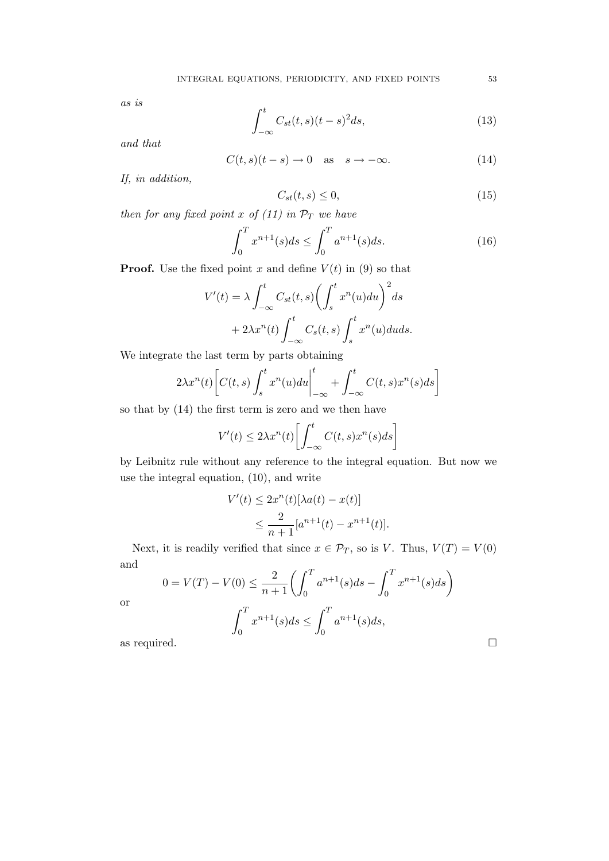as is

$$
\int_{-\infty}^{t} C_{st}(t,s)(t-s)^2 ds,
$$
\n(13)

and that

$$
C(t,s)(t-s) \to 0 \quad \text{as} \quad s \to -\infty. \tag{14}
$$

If, in addition,

$$
C_{st}(t,s) \le 0,\t\t(15)
$$

then for any fixed point x of  $(11)$  in  $\mathcal{P}_T$  we have

$$
\int_0^T x^{n+1}(s)ds \le \int_0^T a^{n+1}(s)ds. \tag{16}
$$

**Proof.** Use the fixed point x and define  $V(t)$  in (9) so that

$$
V'(t) = \lambda \int_{-\infty}^{t} C_{st}(t,s) \left( \int_{s}^{t} x^{n}(u) du \right)^{2} ds
$$

$$
+ 2\lambda x^{n}(t) \int_{-\infty}^{t} C_{s}(t,s) \int_{s}^{t} x^{n}(u) du ds.
$$

We integrate the last term by parts obtaining

$$
2\lambda x^{n}(t)\bigg[C(t,s)\int_{s}^{t} x^{n}(u)du\bigg|_{-\infty}^{t} + \int_{-\infty}^{t} C(t,s)x^{n}(s)ds\bigg]
$$

so that by (14) the first term is zero and we then have

$$
V'(t) \le 2\lambda x^n(t) \left[ \int_{-\infty}^t C(t,s) x^n(s) ds \right]
$$

by Leibnitz rule without any reference to the integral equation. But now we use the integral equation, (10), and write

$$
V'(t) \le 2x^n(t)[\lambda a(t) - x(t)]
$$
  
 
$$
\le \frac{2}{n+1} [a^{n+1}(t) - x^{n+1}(t)].
$$

Next, it is readily verified that since  $x \in \mathcal{P}_T$ , so is V. Thus,  $V(T) = V(0)$ and  $\overline{T}$ 

$$
0 = V(T) - V(0) \le \frac{2}{n+1} \left( \int_0^T a^{n+1}(s)ds - \int_0^T x^{n+1}(s)ds \right)
$$
  
or  

$$
\int_0^T x^{n+1}(s)ds \le \int_0^T a^{n+1}(s)ds,
$$
  
as required.

or

| i |         |
|---|---------|
|   |         |
| I | ۰.      |
| ٠ | M.<br>٧ |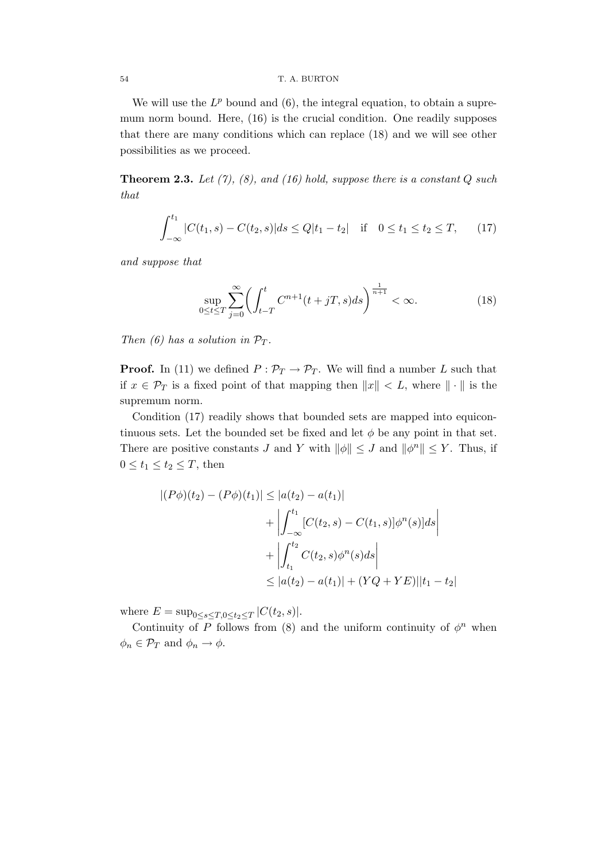## 54 T. A. BURTON

We will use the  $L^p$  bound and  $(6)$ , the integral equation, to obtain a supremum norm bound. Here, (16) is the crucial condition. One readily supposes that there are many conditions which can replace (18) and we will see other possibilities as we proceed.

**Theorem 2.3.** Let  $(7)$ ,  $(8)$ , and  $(16)$  hold, suppose there is a constant Q such that

$$
\int_{-\infty}^{t_1} |C(t_1, s) - C(t_2, s)| ds \le Q|t_1 - t_2| \quad \text{if} \quad 0 \le t_1 \le t_2 \le T,\qquad(17)
$$

and suppose that

$$
\sup_{0 \le t \le T} \sum_{j=0}^{\infty} \left( \int_{t-T}^{t} C^{n+1}(t+jT,s)ds \right)^{\frac{1}{n+1}} < \infty.
$$
 (18)

Then (6) has a solution in  $\mathcal{P}_T$ .

**Proof.** In (11) we defined  $P: \mathcal{P}_T \to \mathcal{P}_T$ . We will find a number L such that if  $x \in \mathcal{P}_T$  is a fixed point of that mapping then  $||x|| < L$ , where  $|| \cdot ||$  is the supremum norm.

Condition (17) readily shows that bounded sets are mapped into equicontinuous sets. Let the bounded set be fixed and let  $\phi$  be any point in that set. There are positive constants J and Y with  $\|\phi\| \leq J$  and  $\|\phi^n\| \leq Y$ . Thus, if  $0 \leq t_1 \leq t_2 \leq T$ , then

$$
|(P\phi)(t_2) - (P\phi)(t_1)| \le |a(t_2) - a(t_1)|
$$
  
+ 
$$
\left| \int_{-\infty}^{t_1} [C(t_2, s) - C(t_1, s)] \phi^n(s) ds \right|
$$
  
+ 
$$
\left| \int_{t_1}^{t_2} C(t_2, s) \phi^n(s) ds \right|
$$
  

$$
\le |a(t_2) - a(t_1)| + (YQ + YE)||t_1 - t_2|
$$

where  $E = \sup_{0 \le s \le T, 0 \le t_2 \le T} |C(t_2, s)|$ .

Continuity of P follows from (8) and the uniform continuity of  $\phi^n$  when  $\phi_n \in \mathcal{P}_T$  and  $\phi_n \to \phi$ .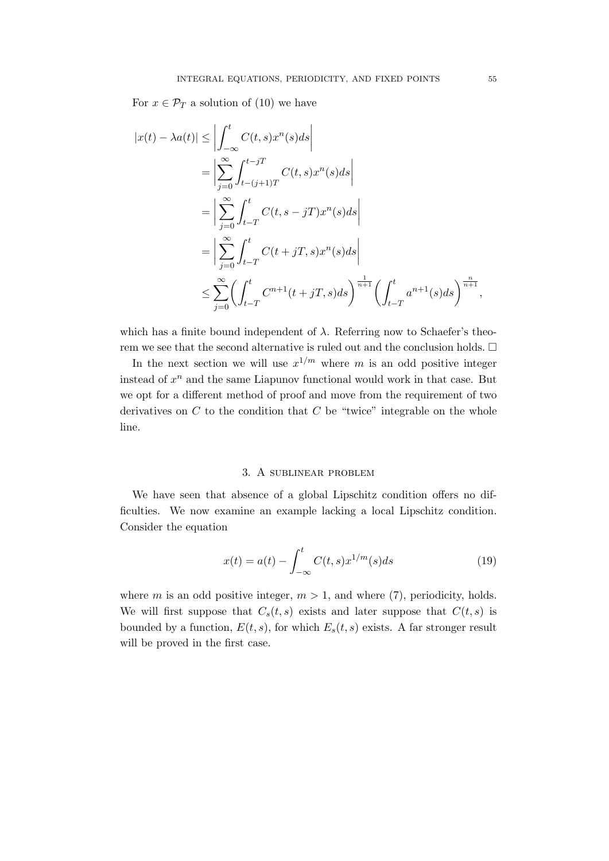For  $x \in \mathcal{P}_T$  a solution of (10) we have

$$
|x(t) - \lambda a(t)| \leq \left| \int_{-\infty}^{t} C(t, s) x^{n}(s) ds \right|
$$
  
\n
$$
= \left| \sum_{j=0}^{\infty} \int_{t-(j+1)T}^{t-jT} C(t, s) x^{n}(s) ds \right|
$$
  
\n
$$
= \left| \sum_{j=0}^{\infty} \int_{t-T}^{t} C(t, s - jT) x^{n}(s) ds \right|
$$
  
\n
$$
= \left| \sum_{j=0}^{\infty} \int_{t-T}^{t} C(t+jT, s) x^{n}(s) ds \right|
$$
  
\n
$$
\leq \sum_{j=0}^{\infty} \left( \int_{t-T}^{t} C^{n+1}(t+jT, s) ds \right)^{\frac{1}{n+1}} \left( \int_{t-T}^{t} a^{n+1}(s) ds \right)^{\frac{n}{n+1}},
$$

which has a finite bound independent of  $\lambda$ . Referring now to Schaefer's theorem we see that the second alternative is ruled out and the conclusion holds.  $\Box$ 

In the next section we will use  $x^{1/m}$  where m is an odd positive integer instead of  $x^n$  and the same Liapunov functional would work in that case. But we opt for a different method of proof and move from the requirement of two derivatives on  $C$  to the condition that  $C$  be "twice" integrable on the whole line.

#### 3. A sublinear problem

We have seen that absence of a global Lipschitz condition offers no difficulties. We now examine an example lacking a local Lipschitz condition. Consider the equation

$$
x(t) = a(t) - \int_{-\infty}^{t} C(t, s) x^{1/m}(s) ds
$$
 (19)

where m is an odd positive integer,  $m > 1$ , and where (7), periodicity, holds. We will first suppose that  $C_s(t, s)$  exists and later suppose that  $C(t, s)$  is bounded by a function,  $E(t, s)$ , for which  $E_s(t, s)$  exists. A far stronger result will be proved in the first case.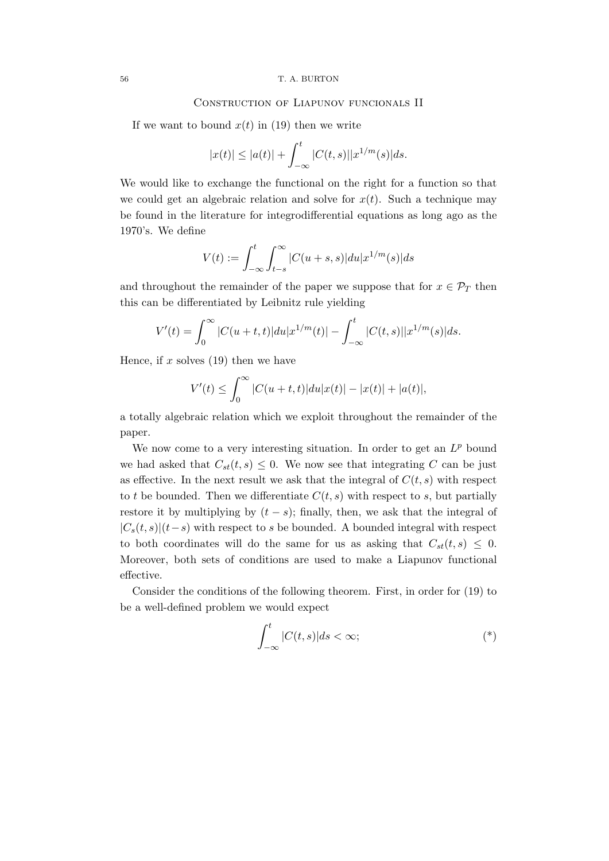## Construction of Liapunov funcionals II

If we want to bound  $x(t)$  in (19) then we write

$$
|x(t)| \leq |a(t)| + \int_{-\infty}^{t} |C(t,s)||x^{1/m}(s)|ds.
$$

We would like to exchange the functional on the right for a function so that we could get an algebraic relation and solve for  $x(t)$ . Such a technique may be found in the literature for integrodifferential equations as long ago as the 1970's. We define

$$
V(t) := \int_{-\infty}^{t} \int_{t-s}^{\infty} |C(u+s,s)| du |x^{1/m}(s)| ds
$$

and throughout the remainder of the paper we suppose that for  $x \in \mathcal{P}_T$  then this can be differentiated by Leibnitz rule yielding

$$
V'(t) = \int_0^\infty |C(u+t,t)|du|x^{1/m}(t)| - \int_{-\infty}^t |C(t,s)||x^{1/m}(s)|ds.
$$

Hence, if  $x$  solves (19) then we have

$$
V'(t) \le \int_0^\infty |C(u+t,t)|du|x(t)| - |x(t)| + |a(t)|,
$$

a totally algebraic relation which we exploit throughout the remainder of the paper.

We now come to a very interesting situation. In order to get an  $L^p$  bound we had asked that  $C_{st}(t, s) \leq 0$ . We now see that integrating C can be just as effective. In the next result we ask that the integral of  $C(t, s)$  with respect to t be bounded. Then we differentiate  $C(t, s)$  with respect to s, but partially restore it by multiplying by  $(t - s)$ ; finally, then, we ask that the integral of  $|C_s(t, s)|(t-s)$  with respect to s be bounded. A bounded integral with respect to both coordinates will do the same for us as asking that  $C_{st}(t, s) \leq 0$ . Moreover, both sets of conditions are used to make a Liapunov functional effective.

Consider the conditions of the following theorem. First, in order for (19) to be a well-defined problem we would expect

$$
\int_{-\infty}^{t} |C(t,s)|ds < \infty;\tag{*}
$$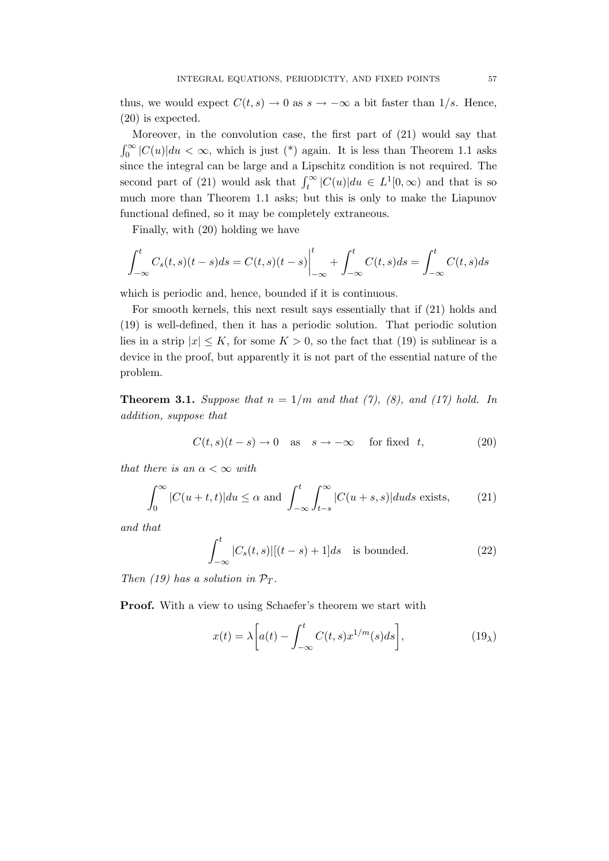thus, we would expect  $C(t, s) \to 0$  as  $s \to -\infty$  a bit faster than  $1/s$ . Hence, (20) is expected.

Moreover, in the convolution case, the first part of (21) would say that  $\int_0^\infty |C(u)| du < \infty$ , which is just (\*) again. It is less than Theorem 1.1 asks since the integral can be large and a Lipschitz condition is not required. The second part of (21) would ask that  $\int_t^{\infty} |C(u)| du \in L^1[0,\infty)$  and that is so much more than Theorem 1.1 asks; but this is only to make the Liapunov functional defined, so it may be completely extraneous.

Finally, with (20) holding we have

$$
\int_{-\infty}^{t} C_s(t,s)(t-s)ds = C(t,s)(t-s)\Big|_{-\infty}^{t} + \int_{-\infty}^{t} C(t,s)ds = \int_{-\infty}^{t} C(t,s)ds
$$

which is periodic and, hence, bounded if it is continuous.

For smooth kernels, this next result says essentially that if (21) holds and (19) is well-defined, then it has a periodic solution. That periodic solution lies in a strip  $|x| \leq K$ , for some  $K > 0$ , so the fact that (19) is sublinear is a device in the proof, but apparently it is not part of the essential nature of the problem.

**Theorem 3.1.** Suppose that  $n = 1/m$  and that (7), (8), and (17) hold. In addition, suppose that

$$
C(t,s)(t-s) \to 0 \quad \text{as} \quad s \to -\infty \quad \text{for fixed} \quad t,\tag{20}
$$

that there is an  $\alpha < \infty$  with

$$
\int_0^\infty |C(u+t,t)|du \le \alpha \text{ and } \int_{-\infty}^t \int_{t-s}^\infty |C(u+s,s)|duds \text{ exists,}
$$
 (21)

and that

$$
\int_{-\infty}^{t} |C_s(t,s)|[(t-s)+1]ds \text{ is bounded.}
$$
 (22)

Then (19) has a solution in  $\mathcal{P}_T$ .

Proof. With a view to using Schaefer's theorem we start with

$$
x(t) = \lambda \left[ a(t) - \int_{-\infty}^{t} C(t, s) x^{1/m}(s) ds \right],
$$
 (19<sub>\lambda</sub>)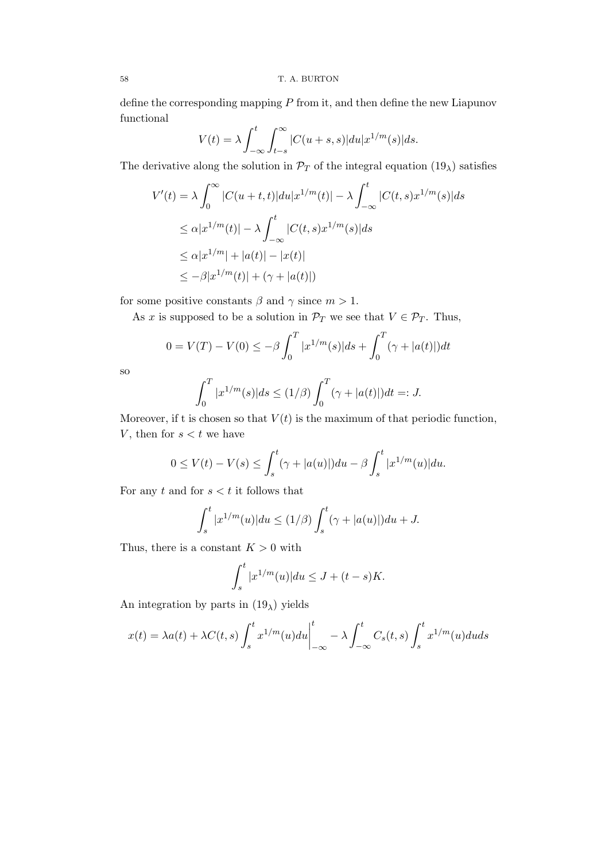define the corresponding mapping  $P$  from it, and then define the new Liapunov functional

$$
V(t) = \lambda \int_{-\infty}^{t} \int_{t-s}^{\infty} |C(u+s,s)| du |x^{1/m}(s)| ds.
$$

The derivative along the solution in  $\mathcal{P}_T$  of the integral equation  $(19_\lambda)$  satisfies

$$
V'(t) = \lambda \int_0^\infty |C(u+t,t)|du|x^{1/m}(t)| - \lambda \int_{-\infty}^t |C(t,s)x^{1/m}(s)|ds
$$
  
\n
$$
\leq \alpha |x^{1/m}(t)| - \lambda \int_{-\infty}^t |C(t,s)x^{1/m}(s)|ds
$$
  
\n
$$
\leq \alpha |x^{1/m}| + |a(t)| - |x(t)|
$$
  
\n
$$
\leq -\beta |x^{1/m}(t)| + (\gamma + |a(t)|)
$$

for some positive constants  $\beta$  and  $\gamma$  since  $m > 1$ .

As x is supposed to be a solution in  $\mathcal{P}_T$  we see that  $V \in \mathcal{P}_T$ . Thus,

$$
0 = V(T) - V(0) \le -\beta \int_0^T |x^{1/m}(s)| ds + \int_0^T (\gamma + |a(t)|) dt
$$

so

$$
\int_0^T |x^{1/m}(s)| ds \le (1/\beta) \int_0^T (\gamma + |a(t)|) dt =: J.
$$

Moreover, if t is chosen so that  $V(t)$  is the maximum of that periodic function, V, then for  $s < t$  we have

$$
0 \le V(t) - V(s) \le \int_s^t (\gamma + |a(u)|) du - \beta \int_s^t |x^{1/m}(u)| du.
$$

For any  $t$  and for  $s < t$  it follows that

$$
\int_s^t |x^{1/m}(u)| du \le (1/\beta) \int_s^t (\gamma + |a(u)|) du + J.
$$

Thus, there is a constant  $K > 0$  with

$$
\int_s^t |x^{1/m}(u)| du \le J + (t - s)K.
$$

An integration by parts in  $(19<sub>\lambda</sub>)$  yields

$$
x(t) = \lambda a(t) + \lambda C(t,s) \int_s^t x^{1/m}(u) du \Big|_{-\infty}^t - \lambda \int_{-\infty}^t C_s(t,s) \int_s^t x^{1/m}(u) du ds
$$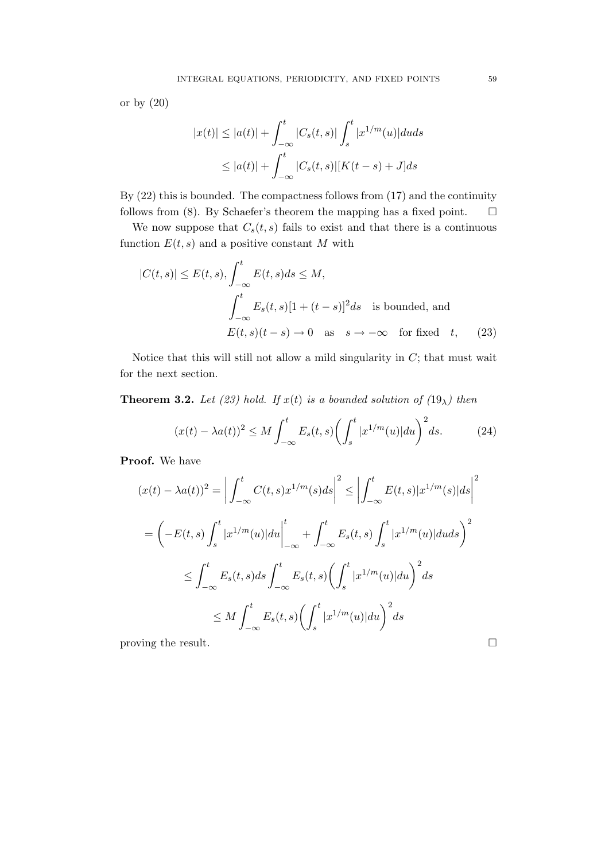or by (20)

$$
|x(t)| \le |a(t)| + \int_{-\infty}^t |C_s(t,s)| \int_s^t |x^{1/m}(u)|duds
$$
  

$$
\le |a(t)| + \int_{-\infty}^t |C_s(t,s)| [K(t-s) + J] ds
$$

By (22) this is bounded. The compactness follows from (17) and the continuity follows from (8). By Schaefer's theorem the mapping has a fixed point.  $\square$ 

We now suppose that  $C_s(t, s)$  fails to exist and that there is a continuous function  $E(t, s)$  and a positive constant M with

$$
|C(t,s)| \le E(t,s), \int_{-\infty}^{t} E(t,s)ds \le M,
$$
  

$$
\int_{-\infty}^{t} E_s(t,s)[1+(t-s)]^2 ds \text{ is bounded, and}
$$
  

$$
E(t,s)(t-s) \to 0 \text{ as } s \to -\infty \text{ for fixed } t,
$$
 (23)

Notice that this will still not allow a mild singularity in  $C$ ; that must wait for the next section.

**Theorem 3.2.** Let (23) hold. If  $x(t)$  is a bounded solution of (19<sub> $\lambda$ </sub>) then

$$
(x(t) - \lambda a(t))^2 \le M \int_{-\infty}^t E_s(t, s) \left( \int_s^t |x^{1/m}(u)| du \right)^2 ds. \tag{24}
$$

Proof. We have

$$
(x(t) - \lambda a(t))^2 = \left| \int_{-\infty}^t C(t, s) x^{1/m}(s) ds \right|^2 \le \left| \int_{-\infty}^t E(t, s) |x^{1/m}(s)| ds \right|^2
$$
  

$$
= \left( -E(t, s) \int_s^t |x^{1/m}(u)| du \right|_{-\infty}^t + \int_{-\infty}^t E_s(t, s) \int_s^t |x^{1/m}(u)| du ds \right)^2
$$
  

$$
\le \int_{-\infty}^t E_s(t, s) ds \int_{-\infty}^t E_s(t, s) \left( \int_s^t |x^{1/m}(u)| du \right)^2 ds
$$
  

$$
\le M \int_{-\infty}^t E_s(t, s) \left( \int_s^t |x^{1/m}(u)| du \right)^2 ds
$$

proving the result.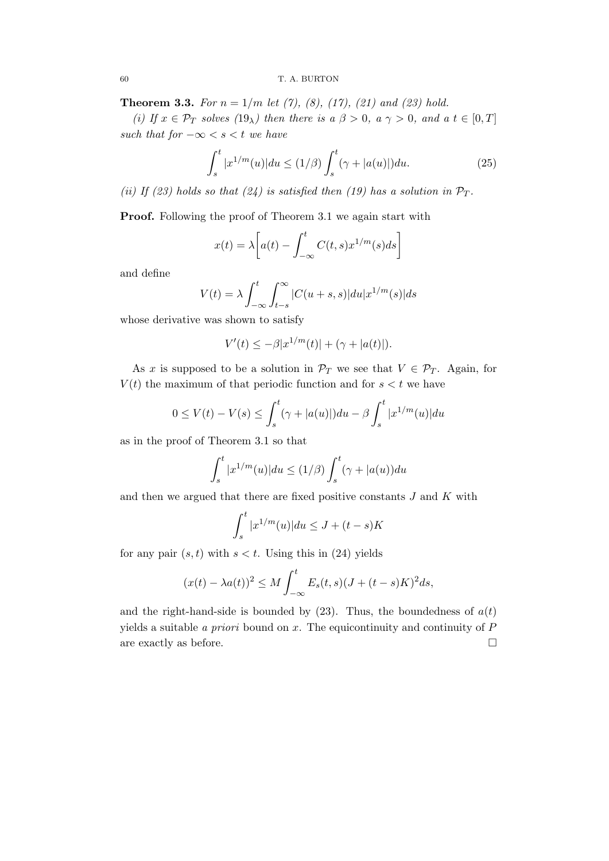**Theorem 3.3.** For  $n = 1/m$  let (7), (8), (17), (21) and (23) hold.

(i) If  $x \in \mathcal{P}_T$  solves  $(19_\lambda)$  then there is  $a \beta > 0$ ,  $a \gamma > 0$ , and  $a \ t \in [0, T]$ such that for  $-\infty < s < t$  we have

$$
\int_{s}^{t} |x^{1/m}(u)| du \le (1/\beta) \int_{s}^{t} (\gamma + |a(u)|) du.
$$
 (25)

(ii) If (23) holds so that (24) is satisfied then (19) has a solution in  $\mathcal{P}_T$ .

Proof. Following the proof of Theorem 3.1 we again start with

$$
x(t) = \lambda \bigg[ a(t) - \int_{-\infty}^{t} C(t,s) x^{1/m}(s) ds \bigg]
$$

and define

$$
V(t) = \lambda \int_{-\infty}^{t} \int_{t-s}^{\infty} |C(u+s,s)| du |x^{1/m}(s)| ds
$$

whose derivative was shown to satisfy

$$
V'(t) \le -\beta |x^{1/m}(t)| + (\gamma + |a(t)|).
$$

As x is supposed to be a solution in  $\mathcal{P}_T$  we see that  $V \in \mathcal{P}_T$ . Again, for  $V(t)$  the maximum of that periodic function and for  $s < t$  we have

$$
0 \le V(t) - V(s) \le \int_s^t (\gamma + |a(u)|) du - \beta \int_s^t |x^{1/m}(u)| du
$$

as in the proof of Theorem 3.1 so that

$$
\int_{s}^{t} |x^{1/m}(u)| du \le (1/\beta) \int_{s}^{t} (\gamma + |a(u)) du
$$

and then we argued that there are fixed positive constants  $J$  and  $K$  with

$$
\int_{s}^{t} |x^{1/m}(u)| du \le J + (t - s)K
$$

for any pair  $(s, t)$  with  $s < t$ . Using this in (24) yields

$$
(x(t) - \lambda a(t))^2 \le M \int_{-\infty}^t E_s(t,s)(J + (t-s)K)^2 ds,
$$

and the right-hand-side is bounded by  $(23)$ . Thus, the boundedness of  $a(t)$ yields a suitable a priori bound on  $x$ . The equicontinuity and continuity of  $P$ are exactly as before.  $\Box$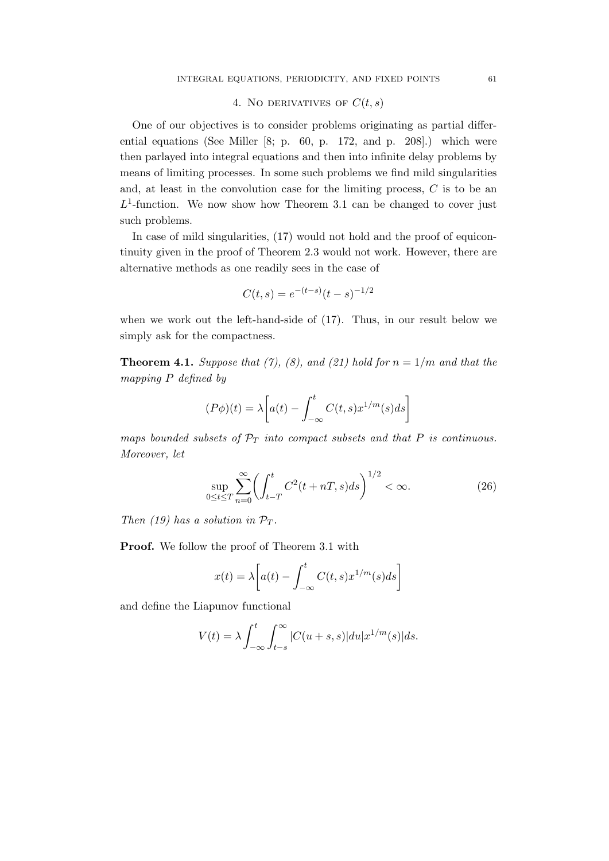# 4. NO DERIVATIVES OF  $C(t, s)$

One of our objectives is to consider problems originating as partial differential equations (See Miller [8; p. 60, p. 172, and p. 208].) which were then parlayed into integral equations and then into infinite delay problems by means of limiting processes. In some such problems we find mild singularities and, at least in the convolution case for the limiting process, C is to be an  $L^1$ -function. We now show how Theorem 3.1 can be changed to cover just such problems.

In case of mild singularities, (17) would not hold and the proof of equicontinuity given in the proof of Theorem 2.3 would not work. However, there are alternative methods as one readily sees in the case of

$$
C(t,s) = e^{-(t-s)}(t-s)^{-1/2}
$$

when we work out the left-hand-side of (17). Thus, in our result below we simply ask for the compactness.

**Theorem 4.1.** Suppose that (7), (8), and (21) hold for  $n = 1/m$  and that the mapping P defined by

$$
(P\phi)(t) = \lambda \left[ a(t) - \int_{-\infty}^{t} C(t,s)x^{1/m}(s)ds \right]
$$

maps bounded subsets of  $\mathcal{P}_T$  into compact subsets and that P is continuous. Moreover, let

$$
\sup_{0 \le t \le T} \sum_{n=0}^{\infty} \left( \int_{t-T}^{t} C^2(t+nT, s) ds \right)^{1/2} < \infty.
$$
 (26)

Then (19) has a solution in  $\mathcal{P}_T$ .

Proof. We follow the proof of Theorem 3.1 with

$$
x(t) = \lambda \left[ a(t) - \int_{-\infty}^{t} C(t,s) x^{1/m}(s) ds \right]
$$

and define the Liapunov functional

$$
V(t) = \lambda \int_{-\infty}^{t} \int_{t-s}^{\infty} |C(u+s,s)| du |x^{1/m}(s)| ds.
$$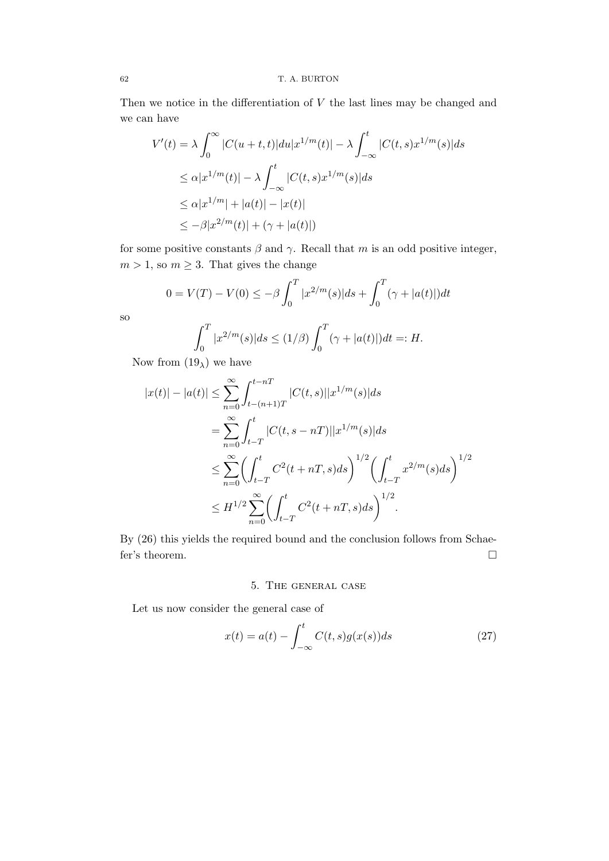Then we notice in the differentiation of  $V$  the last lines may be changed and we can have

$$
V'(t) = \lambda \int_0^\infty |C(u+t,t)|du|x^{1/m}(t)| - \lambda \int_{-\infty}^t |C(t,s)x^{1/m}(s)|ds
$$
  
\n
$$
\leq \alpha |x^{1/m}(t)| - \lambda \int_{-\infty}^t |C(t,s)x^{1/m}(s)|ds
$$
  
\n
$$
\leq \alpha |x^{1/m}| + |a(t)| - |x(t)|
$$
  
\n
$$
\leq -\beta |x^{2/m}(t)| + (\gamma + |a(t)|)
$$

for some positive constants  $\beta$  and  $\gamma$ . Recall that m is an odd positive integer,  $m > 1$ , so  $m \geq 3$ . That gives the change

$$
0 = V(T) - V(0) \le -\beta \int_0^T |x^{2/m}(s)| ds + \int_0^T (\gamma + |a(t)|) dt
$$

so

$$
\int_0^T |x^{2/m}(s)|ds \le (1/\beta) \int_0^T (\gamma + |a(t)|)dt =: H.
$$

Now from  $(19<sub>\lambda</sub>)$  we have

$$
|x(t)| - |a(t)| \le \sum_{n=0}^{\infty} \int_{t-(n+1)T}^{t-nT} |C(t,s)||x^{1/m}(s)|ds
$$
  
\n
$$
= \sum_{n=0}^{\infty} \int_{t-T}^{t} |C(t,s-nT)||x^{1/m}(s)|ds
$$
  
\n
$$
\le \sum_{n=0}^{\infty} \left(\int_{t-T}^{t} C^2(t+nT,s)ds\right)^{1/2} \left(\int_{t-T}^{t} x^{2/m}(s)ds\right)^{1/2}
$$
  
\n
$$
\le H^{1/2} \sum_{n=0}^{\infty} \left(\int_{t-T}^{t} C^2(t+nT,s)ds\right)^{1/2}.
$$

By (26) this yields the required bound and the conclusion follows from Schaefer's theorem.  $\hfill \square$ 

# 5. The general case

Let us now consider the general case of

$$
x(t) = a(t) - \int_{-\infty}^{t} C(t,s)g(x(s))ds
$$
\n(27)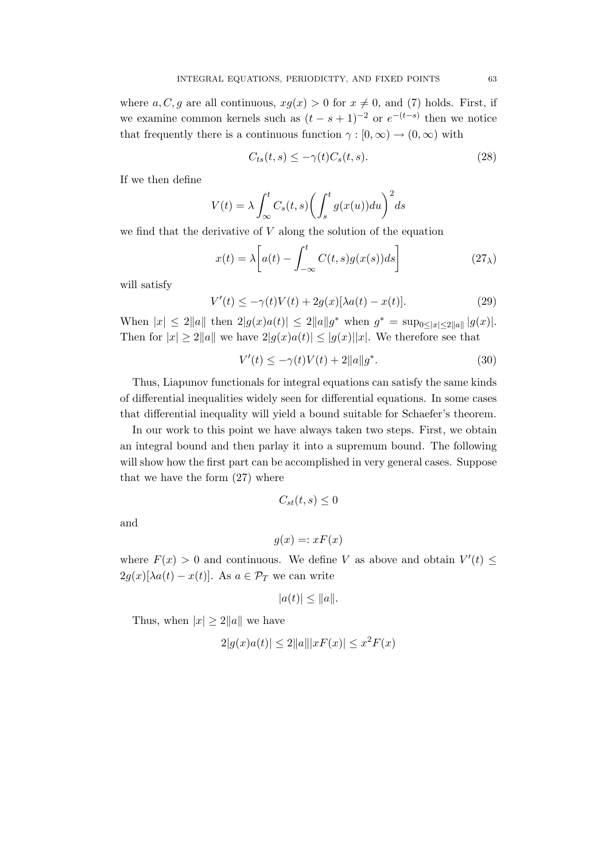where  $a, C, g$  are all continuous,  $xg(x) > 0$  for  $x \neq 0$ , and (7) holds. First, if we examine common kernels such as  $(t - s + 1)^{-2}$  or  $e^{-(t-s)}$  then we notice that frequently there is a continuous function  $\gamma : [0, \infty) \to (0, \infty)$  with

$$
C_{ts}(t,s) \le -\gamma(t)C_s(t,s). \tag{28}
$$

If we then define

$$
V(t) = \lambda \int_{\infty}^{t} C_s(t, s) \left( \int_{s}^{t} g(x(u)) du \right)^2 ds
$$

we find that the derivative of  $V$  along the solution of the equation

$$
x(t) = \lambda \left[ a(t) - \int_{-\infty}^{t} C(t,s)g(x(s))ds \right]
$$
 (27<sub>\lambda</sub>)

will satisfy

$$
V'(t) \le -\gamma(t)V(t) + 2g(x)[\lambda a(t) - x(t)].
$$
\n(29)

When  $|x| \leq 2||a||$  then  $2|g(x)a(t)| \leq 2||a||g^*$  when  $g^* = \sup_{0 \leq |x| \leq 2||a||} |g(x)|$ . Then for  $|x| \ge 2||a||$  we have  $2|g(x)a(t)| \le |g(x)||x|$ . We therefore see that

$$
V'(t) \le -\gamma(t)V(t) + 2\|a\|g^*.
$$
\n(30)

Thus, Liapunov functionals for integral equations can satisfy the same kinds of differential inequalities widely seen for differential equations. In some cases that differential inequality will yield a bound suitable for Schaefer's theorem.

In our work to this point we have always taken two steps. First, we obtain an integral bound and then parlay it into a supremum bound. The following will show how the first part can be accomplished in very general cases. Suppose that we have the form (27) where

$$
C_{st}(t,s) \leq 0
$$

and

$$
g(x) =: xF(x)
$$

where  $F(x) > 0$  and continuous. We define V as above and obtain  $V'(t) \leq$  $2g(x)[\lambda a(t) - x(t)]$ . As  $a \in \mathcal{P}_T$  we can write

$$
|a(t)| \leq ||a||.
$$

Thus, when  $|x| \geq 2||a||$  we have

$$
2|g(x)a(t)| \le 2||a|||xF(x)| \le x^2F(x)
$$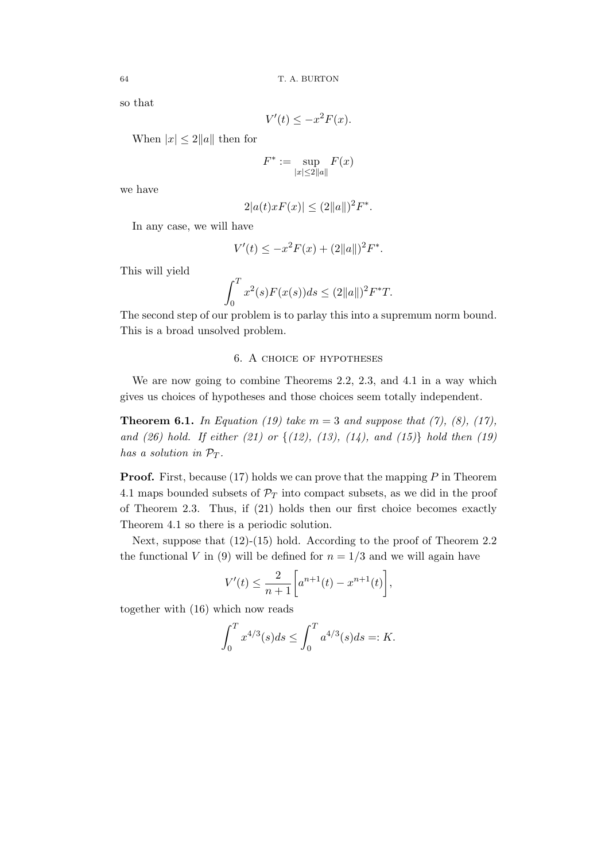so that

$$
V'(t) \le -x^2 F(x).
$$

When  $|x| \leq 2||a||$  then for

$$
F^* := \sup_{|x| \le 2\|a\|} F(x)
$$

we have

$$
2|a(t)xF(x)| \le (2||a||)^2F^*.
$$

In any case, we will have

$$
V'(t) \le -x^2 F(x) + (2||a||)^2 F^*.
$$

This will yield

$$
\int_0^T x^2(s) F(x(s)) ds \le (2||a||)^2 F^* T.
$$

The second step of our problem is to parlay this into a supremum norm bound. This is a broad unsolved problem.

## 6. A choice of hypotheses

We are now going to combine Theorems 2.2, 2.3, and 4.1 in a way which gives us choices of hypotheses and those choices seem totally independent.

**Theorem 6.1.** In Equation (19) take  $m = 3$  and suppose that (7), (8), (17), and (26) hold. If either (21) or  $\{(12), (13), (14),$  and  $(15)\}$  hold then (19) has a solution in  $\mathcal{P}_T$ .

**Proof.** First, because (17) holds we can prove that the mapping  $P$  in Theorem 4.1 maps bounded subsets of  $\mathcal{P}_T$  into compact subsets, as we did in the proof of Theorem 2.3. Thus, if (21) holds then our first choice becomes exactly Theorem 4.1 so there is a periodic solution.

Next, suppose that (12)-(15) hold. According to the proof of Theorem 2.2 the functional V in (9) will be defined for  $n = 1/3$  and we will again have

$$
V'(t) \le \frac{2}{n+1} \bigg[ a^{n+1}(t) - x^{n+1}(t) \bigg],
$$

together with (16) which now reads

$$
\int_0^T x^{4/3}(s)ds \le \int_0^T a^{4/3}(s)ds =: K.
$$